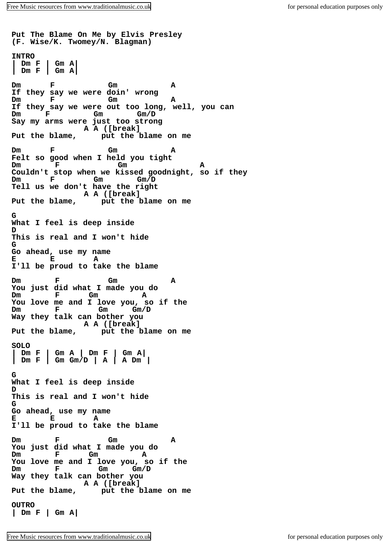**Put The Blame On Me by Elvis Presley (F. Wise/K. Twomey/N. Blagman) INTRO | Dm F | Gm A| Dm F Gm A If they say we were doin' wrong Dm F Gm A If they say we were out too long, well, you can Dm F Gm Gm/D Say my arms were just too strong** A A ([break]<br>Put the blame, put the **] Put the blame, put the blame on me Dm F Gm A Felt so good when I held you tight Dm F Gm A Couldn't stop when we kissed goodnight, so if they Dm F Gm Gm/D Tell us we don't have the right A A** ([break]<br>Put the blame, put the l **Put the blame, put the blame on me G What I feel is deep inside D This is real and I won't hide G Go ahead, use my name E E A I'll be proud to take the blame Dm F Gm A You just did what I made you do Dm F Gm A You love me and I love you, so if the Dm F Gm Gm/D Way they talk can bother you A A** ([break]<br>Put the blame, put the l **Put the blame, put the blame on me SOLO | Dm F | Gm A | Dm F | Gm A| | Dm F | Gm Gm/D | A | A Dm | G What I feel is deep inside D This is real and I won't hide G Go ahead, use my name E E A I'll be proud to take the blame Dm F Gm A You just did what I made you do Dm F Gm A You love me and I love you, so if the Dm F Gm Gm/D Way they talk can bother you** A A ([break]<br>Put the blame, put the **l Put the blame, put the blame on me OUTRO | Dm F | Gm A|**